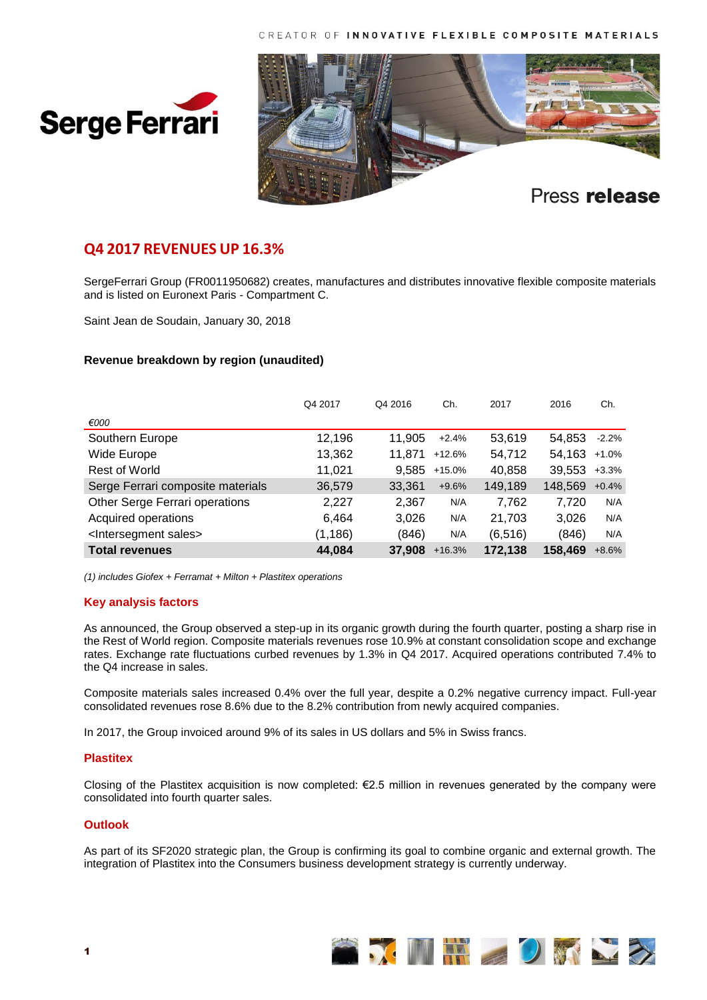



# **Q4 2017 REVENUES UP 16.3%**

SergeFerrari Group (FR0011950682) creates, manufactures and distributes innovative flexible composite materials and is listed on Euronext Paris - Compartment C.

Saint Jean de Soudain, January 30, 2018

## **Revenue breakdown by region (unaudited)**

|                                        | Q4 2017  | Q4 2016 | Ch.      | 2017     | 2016    | Ch.     |
|----------------------------------------|----------|---------|----------|----------|---------|---------|
| €000                                   |          |         |          |          |         |         |
| Southern Europe                        | 12,196   | 11.905  | $+2.4%$  | 53,619   | 54.853  | $-2.2%$ |
| Wide Europe                            | 13,362   | 11.871  | $+12.6%$ | 54,712   | 54.163  | $+1.0%$ |
| Rest of World                          | 11,021   | 9.585   | $+15.0%$ | 40,858   | 39,553  | $+3.3%$ |
| Serge Ferrari composite materials      | 36,579   | 33,361  | $+9.6%$  | 149,189  | 148.569 | $+0.4%$ |
| Other Serge Ferrari operations         | 2,227    | 2,367   | N/A      | 7.762    | 7.720   | N/A     |
| Acquired operations                    | 6.464    | 3.026   | N/A      | 21,703   | 3.026   | N/A     |
| <lntersegment sales=""></lntersegment> | (1, 186) | (846)   | N/A      | (6, 516) | (846)   | N/A     |
| <b>Total revenues</b>                  | 44,084   | 37.908  | $+16.3%$ | 172,138  | 158,469 | $+8.6%$ |

*(1) includes Giofex + Ferramat + Milton + Plastitex operations*

### **Key analysis factors**

As announced, the Group observed a step-up in its organic growth during the fourth quarter, posting a sharp rise in the Rest of World region. Composite materials revenues rose 10.9% at constant consolidation scope and exchange rates. Exchange rate fluctuations curbed revenues by 1.3% in Q4 2017. Acquired operations contributed 7.4% to the Q4 increase in sales.

Composite materials sales increased 0.4% over the full year, despite a 0.2% negative currency impact. Full-year consolidated revenues rose 8.6% due to the 8.2% contribution from newly acquired companies.

In 2017, the Group invoiced around 9% of its sales in US dollars and 5% in Swiss francs.

### **Plastitex**

Closing of the Plastitex acquisition is now completed: €2.5 million in revenues generated by the company were consolidated into fourth quarter sales.

## **Outlook**

As part of its SF2020 strategic plan, the Group is confirming its goal to combine organic and external growth. The integration of Plastitex into the Consumers business development strategy is currently underway.